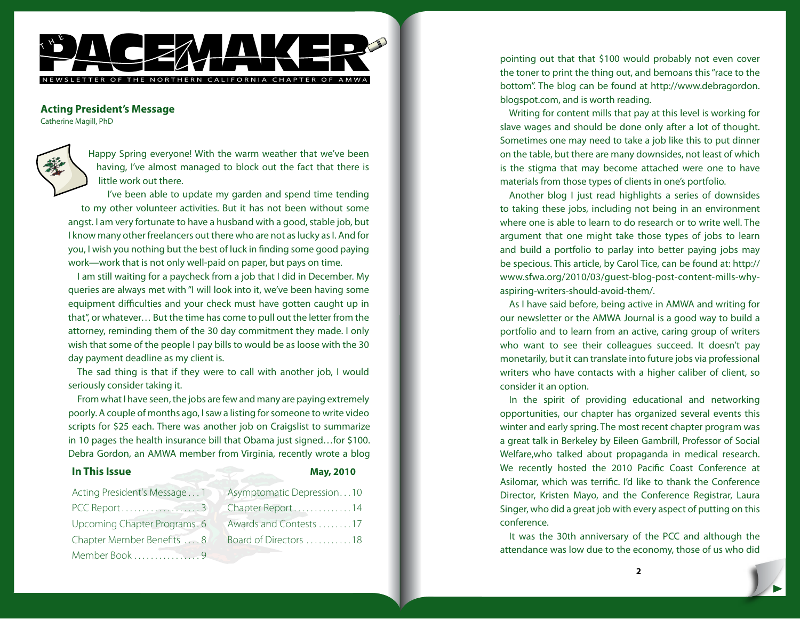

## **Acting President's Message**

Catherine Magill, PhD

Happy Spring everyone! With the warm weather that we've been having, I've almost managed to block out the fact that there is little work out there.

I've been able to update my garden and spend time tending to my other volunteer activities. But it has not been without some angst. I am very fortunate to have a husband with a good, stable job, but I know many other freelancers out there who are not as lucky as I. And for you, I wish you nothing but the best of luck in finding some good paying work—work that is not only well-paid on paper, but pays on time.

I am still waiting for a paycheck from a job that I did in December. My queries are always met with "I will look into it, we've been having some equipment difficulties and your check must have gotten caught up in that", or whatever… But the time has come to pull out the letter from the attorney, reminding them of the 30 day commitment they made. I only wish that some of the people I pay bills to would be as loose with the 30 day payment deadline as my client is.

The sad thing is that if they were to call with another job, I would seriously consider taking it.

From what I have seen, the jobs are few and many are paying extremely poorly. A couple of months ago, I saw a listing for someone to write video scripts for \$25 each. There was another job on Craigslist to summarize in 10 pages the health insurance bill that Obama just signed…for \$100. Debra Gordon, an AMWA member from Virginia, recently wrote a blog

## **In This Issue May, 2010**

| Acting President's Message1  | Asympto         |
|------------------------------|-----------------|
|                              | Chapter         |
| Upcoming Chapter Programs. 6 | Awards a        |
| Chapter Member Benefits  8   | <b>Board</b> of |
| Member Book 9                |                 |

| Asymptomatic Depression10 |
|---------------------------|
| Chapter Report14          |
| Awards and Contests 17    |
| Board of Directors 18     |
|                           |

pointing out that that \$100 would probably not even cover the toner to print the thing out, and bemoans this "race to the bottom". The blog can be found at http://www.debragordon. blogspot.com, and is worth reading.

Writing for content mills that pay at this level is working for slave wages and should be done only after a lot of thought. Sometimes one may need to take a job like this to put dinner on the table, but there are many downsides, not least of which is the stigma that may become attached were one to have materials from those types of clients in one's portfolio.

Another blog I just read highlights a series of downsides to taking these jobs, including not being in an environment where one is able to learn to do research or to write well. The argument that one might take those types of jobs to learn and build a portfolio to parlay into better paying jobs may be specious. This article, by Carol Tice, can be found at: http:// www.sfwa.org/2010/03/guest-blog-post-content-mills-whyaspiring-writers-should-avoid-them/.

As I have said before, being active in AMWA and writing for our newsletter or the AMWA Journal is a good way to build a portfolio and to learn from an active, caring group of writers who want to see their colleagues succeed. It doesn't pay monetarily, but it can translate into future jobs via professional writers who have contacts with a higher caliber of client, so consider it an option.

In the spirit of providing educational and networking opportunities, our chapter has organized several events this winter and early spring. The most recent chapter program was a great talk in Berkeley by Eileen Gambrill, Professor of Social Welfare,who talked about propaganda in medical research. We recently hosted the 2010 Pacific Coast Conference at Asilomar, which was terrific. I'd like to thank the Conference Director, Kristen Mayo, and the Conference Registrar, Laura Singer, who did a great job with every aspect of putting on this conference.

It was the 30th anniversary of the PCC and although the attendance was low due to the economy, those of us who did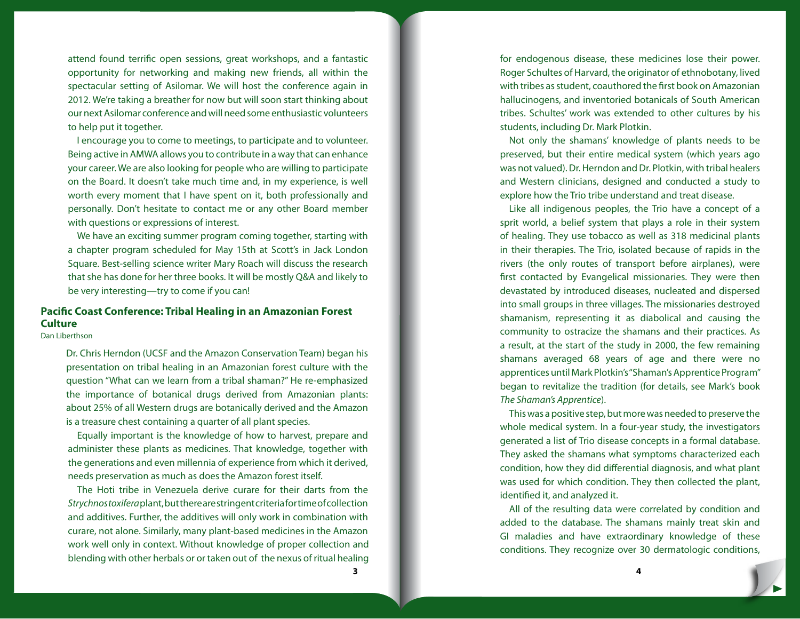attend found terrific open sessions, great workshops, and a fantastic opportunity for networking and making new friends, all within the spectacular setting of Asilomar. We will host the conference again in 2012. We're taking a breather for now but will soon start thinking about our next Asilomar conference and will need some enthusiastic volunteers to help put it together.

I encourage you to come to meetings, to participate and to volunteer. Being active in AMWA allows you to contribute in a way that can enhance your career. We are also looking for people who are willing to participate on the Board. It doesn't take much time and, in my experience, is well worth every moment that I have spent on it, both professionally and personally. Don't hesitate to contact me or any other Board member with questions or expressions of interest.

We have an exciting summer program coming together, starting with a chapter program scheduled for May 15th at Scott's in Jack London Square. Best-selling science writer Mary Roach will discuss the research that she has done for her three books. It will be mostly Q&A and likely to be very interesting—try to come if you can!

# **Pacific Coast Conference: Tribal Healing in an Amazonian Forest Culture**

Dan Liberthson

Dr. Chris Herndon (UCSF and the Amazon Conservation Team) began his presentation on tribal healing in an Amazonian forest culture with the question "What can we learn from a tribal shaman?" He re-emphasized the importance of botanical drugs derived from Amazonian plants: about 25% of all Western drugs are botanically derived and the Amazon is a treasure chest containing a quarter of all plant species.

Equally important is the knowledge of how to harvest, prepare and administer these plants as medicines. That knowledge, together with the generations and even millennia of experience from which it derived, needs preservation as much as does the Amazon forest itself.

The Hoti tribe in Venezuela derive curare for their darts from the *Strychnos toxifera* plant, but there are stringent criteria for time of collection and additives. Further, the additives will only work in combination with curare, not alone. Similarly, many plant-based medicines in the Amazon work well only in context. Without knowledge of proper collection and blending with other herbals or or taken out of the nexus of ritual healing for endogenous disease, these medicines lose their power. Roger Schultes of Harvard, the originator of ethnobotany, lived with tribes as student, coauthored the first book on Amazonian hallucinogens, and inventoried botanicals of South American tribes. Schultes' work was extended to other cultures by his students, including Dr. Mark Plotkin.

Not only the shamans' knowledge of plants needs to be preserved, but their entire medical system (which years ago was not valued). Dr. Herndon and Dr. Plotkin, with tribal healers and Western clinicians, designed and conducted a study to explore how the Trio tribe understand and treat disease.

Like all indigenous peoples, the Trio have a concept of a sprit world, a belief system that plays a role in their system of healing. They use tobacco as well as 318 medicinal plants in their therapies. The Trio, isolated because of rapids in the rivers (the only routes of transport before airplanes), were first contacted by Evangelical missionaries. They were then devastated by introduced diseases, nucleated and dispersed into small groups in three villages. The missionaries destroyed shamanism, representing it as diabolical and causing the community to ostracize the shamans and their practices. As a result, at the start of the study in 2000, the few remaining shamans averaged 68 years of age and there were no apprentices until Mark Plotkin's "Shaman's Apprentice Program" began to revitalize the tradition (for details, see Mark's book *The Shaman's Apprentice*).

This was a positive step, but more was needed to preserve the whole medical system. In a four-year study, the investigators generated a list of Trio disease concepts in a formal database. They asked the shamans what symptoms characterized each condition, how they did differential diagnosis, and what plant was used for which condition. They then collected the plant, identified it, and analyzed it.

All of the resulting data were correlated by condition and added to the database. The shamans mainly treat skin and GI maladies and have extraordinary knowledge of these conditions. They recognize over 30 dermatologic conditions,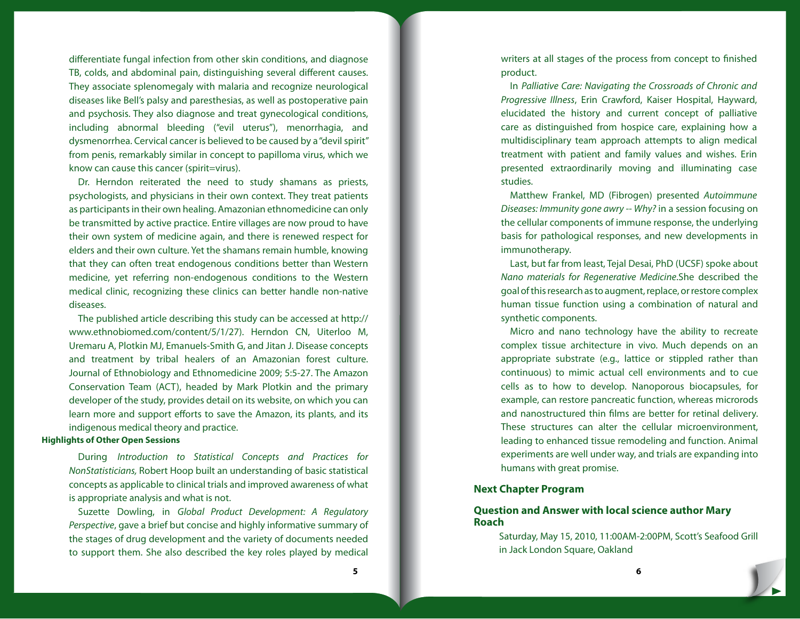differentiate fungal infection from other skin conditions, and diagnose TB, colds, and abdominal pain, distinguishing several different causes. They associate splenomegaly with malaria and recognize neurological diseases like Bell's palsy and paresthesias, as well as postoperative pain and psychosis. They also diagnose and treat gynecological conditions, including abnormal bleeding ("evil uterus"), menorrhagia, and dysmenorrhea. Cervical cancer is believed to be caused by a "devil spirit" from penis, remarkably similar in concept to papilloma virus, which we know can cause this cancer (spirit=virus).

Dr. Herndon reiterated the need to study shamans as priests, psychologists, and physicians in their own context. They treat patients as participants in their own healing. Amazonian ethnomedicine can only be transmitted by active practice. Entire villages are now proud to have their own system of medicine again, and there is renewed respect for elders and their own culture. Yet the shamans remain humble, knowing that they can often treat endogenous conditions better than Western medicine, yet referring non-endogenous conditions to the Western medical clinic, recognizing these clinics can better handle non-native diseases.

The published article describing this study can be accessed at http:// www.ethnobiomed.com/content/5/1/27). Herndon CN, Uiterloo M, Uremaru A, Plotkin MJ, Emanuels-Smith G, and Jitan J. Disease concepts and treatment by tribal healers of an Amazonian forest culture. Journal of Ethnobiology and Ethnomedicine 2009; 5:5-27. The Amazon Conservation Team (ACT), headed by Mark Plotkin and the primary developer of the study, provides detail on its website, on which you can learn more and support efforts to save the Amazon, its plants, and its indigenous medical theory and practice.

#### **Highlights of Other Open Sessions**

During *Introduction to Statistical Concepts and Practices for NonStatisticians,* Robert Hoop built an understanding of basic statistical concepts as applicable to clinical trials and improved awareness of what is appropriate analysis and what is not.

Suzette Dowling, in *Global Product Development: A Regulatory Perspective*, gave a brief but concise and highly informative summary of the stages of drug development and the variety of documents needed to support them. She also described the key roles played by medical

writers at all stages of the process from concept to finished product.

In *Palliative Care: Navigating the Crossroads of Chronic and Progressive Illness*, Erin Crawford, Kaiser Hospital, Hayward, elucidated the history and current concept of palliative care as distinguished from hospice care, explaining how a multidisciplinary team approach attempts to align medical treatment with patient and family values and wishes. Erin presented extraordinarily moving and illuminating case studies.

Matthew Frankel, MD (Fibrogen) presented *Autoimmune Diseases: Immunity gone awry -- Why?* in a session focusing on the cellular components of immune response, the underlying basis for pathological responses, and new developments in immunotherapy.

Last, but far from least, Tejal Desai, PhD (UCSF) spoke about *Nano materials for Regenerative Medicine*.She described the goal of this research as to augment, replace, or restore complex human tissue function using a combination of natural and synthetic components.

Micro and nano technology have the ability to recreate complex tissue architecture in vivo. Much depends on an appropriate substrate (e.g., lattice or stippled rather than continuous) to mimic actual cell environments and to cue cells as to how to develop. Nanoporous biocapsules, for example, can restore pancreatic function, whereas microrods and nanostructured thin films are better for retinal delivery. These structures can alter the cellular microenvironment, leading to enhanced tissue remodeling and function. Animal experiments are well under way, and trials are expanding into humans with great promise.

## **Next Chapter Program**

## **Question and Answer with local science author Mary Roach**

Saturday, May 15, 2010, 11:00AM-2:00PM, Scott's Seafood Grill in Jack London Square, Oakland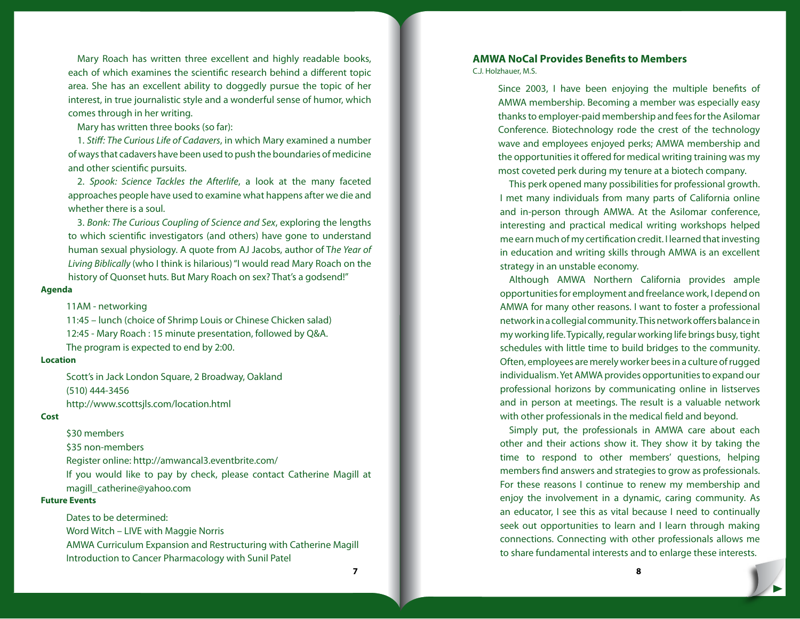Mary Roach has written three excellent and highly readable books, each of which examines the scientific research behind a different topic area. She has an excellent ability to doggedly pursue the topic of her interest, in true journalistic style and a wonderful sense of humor, which comes through in her writing.

Mary has written three books (so far):

1. *Stiff: The Curious Life of Cadavers*, in which Mary examined a number of ways that cadavers have been used to push the boundaries of medicine and other scientific pursuits.

2. *Spook: Science Tackles the Afterlife*, a look at the many faceted approaches people have used to examine what happens after we die and whether there is a soul.

3. *Bonk: The Curious Coupling of Science and Sex*, exploring the lengths to which scientific investigators (and others) have gone to understand human sexual physiology. A quote from AJ Jacobs, author of T*he Year of Living Biblically* (who I think is hilarious) "I would read Mary Roach on the history of Quonset huts. But Mary Roach on sex? That's a godsend!"

#### **Agenda**

#### 11AM - networking

11:45 – lunch (choice of Shrimp Louis or Chinese Chicken salad) 12:45 - Mary Roach : 15 minute presentation, followed by Q&A. The program is expected to end by 2:00.

#### **Location**

Scott's in Jack London Square, 2 Broadway, Oakland (510) 444-3456 http://www.scottsjls.com/location.html

#### **Cost**

\$30 members

\$35 non-members

Register online: http://amwancal3.eventbrite.com/

If you would like to pay by check, please contact Catherine Magill at magill\_catherine@yahoo.com

## **Future Events**

Dates to be determined:

Word Witch – LIVE with Maggie Norris

AMWA Curriculum Expansion and Restructuring with Catherine Magill Introduction to Cancer Pharmacology with Sunil Patel

# **AMWA NoCal Provides Benefits to Members**

C.J. Holzhauer, M.S.

Since 2003, I have been enjoying the multiple benefits of AMWA membership. Becoming a member was especially easy thanks to employer-paid membership and fees for the Asilomar Conference. Biotechnology rode the crest of the technology wave and employees enjoyed perks; AMWA membership and the opportunities it offered for medical writing training was my most coveted perk during my tenure at a biotech company.

This perk opened many possibilities for professional growth. I met many individuals from many parts of California online and in-person through AMWA. At the Asilomar conference, interesting and practical medical writing workshops helped me earn much of my certification credit. I learned that investing in education and writing skills through AMWA is an excellent strategy in an unstable economy.

Although AMWA Northern California provides ample opportunities for employment and freelance work, I depend on AMWA for many other reasons. I want to foster a professional network in a collegial community. This network offers balance in my working life. Typically, regular working life brings busy, tight schedules with little time to build bridges to the community. Often, employees are merely worker bees in a culture of rugged individualism. Yet AMWA provides opportunities to expand our professional horizons by communicating online in listserves and in person at meetings. The result is a valuable network with other professionals in the medical field and beyond.

Simply put, the professionals in AMWA care about each other and their actions show it. They show it by taking the time to respond to other members' questions, helping members find answers and strategies to grow as professionals. For these reasons I continue to renew my membership and enjoy the involvement in a dynamic, caring community. As an educator, I see this as vital because I need to continually seek out opportunities to learn and I learn through making connections. Connecting with other professionals allows me to share fundamental interests and to enlarge these interests.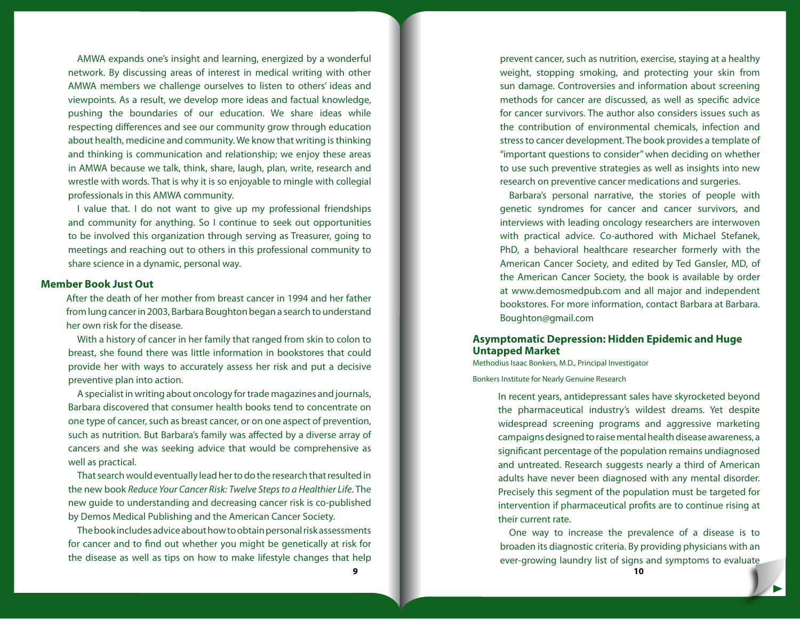AMWA expands one's insight and learning, energized by a wonderful network. By discussing areas of interest in medical writing with other AMWA members we challenge ourselves to listen to others' ideas and viewpoints. As a result, we develop more ideas and factual knowledge, pushing the boundaries of our education. We share ideas while respecting differences and see our community grow through education about health, medicine and community. We know that writing is thinking and thinking is communication and relationship; we enjoy these areas in AMWA because we talk, think, share, laugh, plan, write, research and wrestle with words. That is why it is so enjoyable to mingle with collegial professionals in this AMWA community.

I value that. I do not want to give up my professional friendships and community for anything. So I continue to seek out opportunities to be involved this organization through serving as Treasurer, going to meetings and reaching out to others in this professional community to share science in a dynamic, personal way.

## **Member Book Just Out**

After the death of her mother from breast cancer in 1994 and her father from lung cancer in 2003, Barbara Boughton began a search to understand her own risk for the disease.

With a history of cancer in her family that ranged from skin to colon to breast, she found there was little information in bookstores that could provide her with ways to accurately assess her risk and put a decisive preventive plan into action.

A specialist in writing about oncology for trade magazines and journals, Barbara discovered that consumer health books tend to concentrate on one type of cancer, such as breast cancer, or on one aspect of prevention, such as nutrition. But Barbara's family was affected by a diverse array of cancers and she was seeking advice that would be comprehensive as well as practical.

That search would eventually lead her to do the research that resulted in the new book *Reduce Your Cancer Risk: Twelve Steps to a Healthier Life*. The new guide to understanding and decreasing cancer risk is co-published by Demos Medical Publishing and the American Cancer Society.

The book includes advice about how to obtain personal risk assessments for cancer and to find out whether you might be genetically at risk for the disease as well as tips on how to make lifestyle changes that help

prevent cancer, such as nutrition, exercise, staying at a healthy weight, stopping smoking, and protecting your skin from sun damage. Controversies and information about screening methods for cancer are discussed, as well as specific advice for cancer survivors. The author also considers issues such as the contribution of environmental chemicals, infection and stress to cancer development. The book provides a template of "important questions to consider" when deciding on whether to use such preventive strategies as well as insights into new research on preventive cancer medications and surgeries.

Barbara's personal narrative, the stories of people with genetic syndromes for cancer and cancer survivors, and interviews with leading oncology researchers are interwoven with practical advice. Co-authored with Michael Stefanek, PhD, a behavioral healthcare researcher formerly with the American Cancer Society, and edited by Ted Gansler, MD, of the American Cancer Society, the book is available by order at www.demosmedpub.com and all major and independent bookstores. For more information, contact Barbara at Barbara. Boughton@gmail.com

## **Asymptomatic Depression: Hidden Epidemic and Huge Untapped Market**

Methodius Isaac Bonkers, M.D., Principal Investigator Bonkers Institute for Nearly Genuine Research

> In recent years, antidepressant sales have skyrocketed beyond the pharmaceutical industry's wildest dreams. Yet despite widespread screening programs and aggressive marketing campaigns designed to raise mental health disease awareness, a significant percentage of the population remains undiagnosed and untreated. Research suggests nearly a third of American adults have never been diagnosed with any mental disorder. Precisely this segment of the population must be targeted for intervention if pharmaceutical profits are to continue rising at their current rate.

One way to increase the prevalence of a disease is to broaden its diagnostic criteria. By providing physicians with an ever-growing laundry list of signs and symptoms to evaluate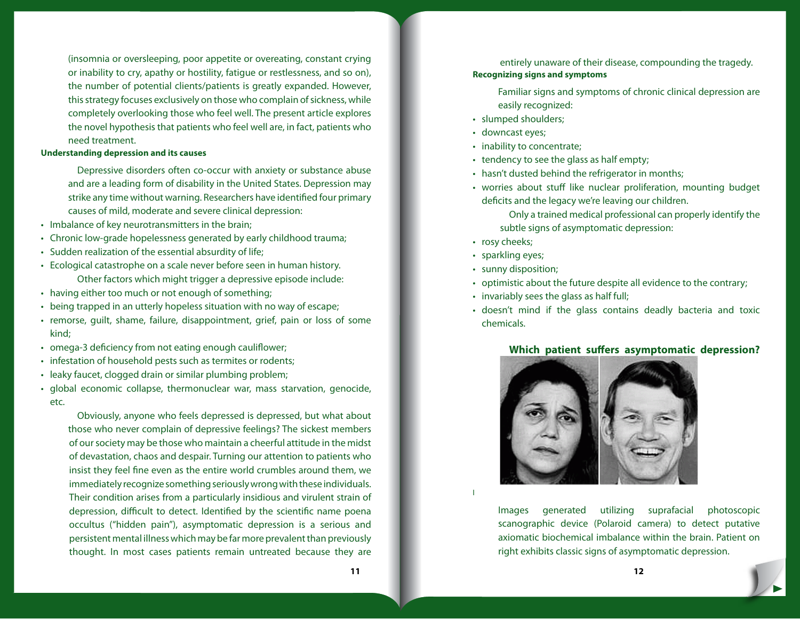(insomnia or oversleeping, poor appetite or overeating, constant crying or inability to cry, apathy or hostility, fatigue or restlessness, and so on), the number of potential clients/patients is greatly expanded. However, this strategy focuses exclusively on those who complain of sickness, while completely overlooking those who feel well. The present article explores the novel hypothesis that patients who feel well are, in fact, patients who need treatment.

### **Understanding depression and its causes**

Depressive disorders often co-occur with anxiety or substance abuse and are a leading form of disability in the United States. Depression may strike any time without warning. Researchers have identified four primary causes of mild, moderate and severe clinical depression:

- Imbalance of key neurotransmitters in the brain;
- Chronic low-grade hopelessness generated by early childhood trauma;
- Sudden realization of the essential absurdity of life;
- Ecological catastrophe on a scale never before seen in human history. Other factors which might trigger a depressive episode include:
- having either too much or not enough of something;
- being trapped in an utterly hopeless situation with no way of escape;
- remorse, guilt, shame, failure, disappointment, grief, pain or loss of some kind;
- omega-3 deficiency from not eating enough cauliflower;
- infestation of household pests such as termites or rodents;
- leaky faucet, clogged drain or similar plumbing problem;
- global economic collapse, thermonuclear war, mass starvation, genocide, etc.

Obviously, anyone who feels depressed is depressed, but what about those who never complain of depressive feelings? The sickest members of our society may be those who maintain a cheerful attitude in the midst of devastation, chaos and despair. Turning our attention to patients who insist they feel fine even as the entire world crumbles around them, we immediately recognize something seriously wrong with these individuals. Their condition arises from a particularly insidious and virulent strain of depression, difficult to detect. Identified by the scientific name poena occultus ("hidden pain"), asymptomatic depression is a serious and persistent mental illness which may be far more prevalent than previously thought. In most cases patients remain untreated because they are entirely unaware of their disease, compounding the tragedy.

## **Recognizing signs and symptoms**

Familiar signs and symptoms of chronic clinical depression are easily recognized:

- slumped shoulders;
- downcast eyes;
- inability to concentrate;
- tendency to see the glass as half empty;
- hasn't dusted behind the refrigerator in months;
- worries about stuff like nuclear proliferation, mounting budget deficits and the legacy we're leaving our children.

Only a trained medical professional can properly identify the subtle signs of asymptomatic depression:

- rosy cheeks;
- sparkling eyes;

I

- sunny disposition;
- optimistic about the future despite all evidence to the contrary;
- invariably sees the glass as half full;
- doesn't mind if the glass contains deadly bacteria and toxic chemicals.

## **Which patient suffers asymptomatic depression?**



Images generated utilizing suprafacial photoscopic scanographic device (Polaroid camera) to detect putative axiomatic biochemical imbalance within the brain. Patient on right exhibits classic signs of asymptomatic depression.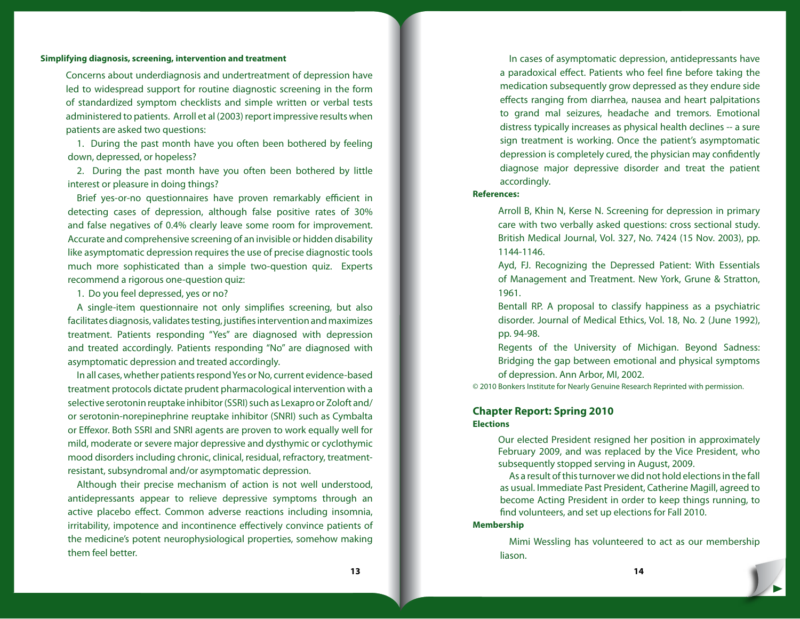#### **Simplifying diagnosis, screening, intervention and treatment**

Concerns about underdiagnosis and undertreatment of depression have led to widespread support for routine diagnostic screening in the form of standardized symptom checklists and simple written or verbal tests administered to patients. Arroll et al (2003) report impressive results when patients are asked two questions:

1. During the past month have you often been bothered by feeling down, depressed, or hopeless?

2. During the past month have you often been bothered by little interest or pleasure in doing things?

Brief yes-or-no questionnaires have proven remarkably efficient in detecting cases of depression, although false positive rates of 30% and false negatives of 0.4% clearly leave some room for improvement. Accurate and comprehensive screening of an invisible or hidden disability like asymptomatic depression requires the use of precise diagnostic tools much more sophisticated than a simple two-question quiz. Experts recommend a rigorous one-question quiz:

1. Do you feel depressed, yes or no?

A single-item questionnaire not only simplifies screening, but also facilitates diagnosis, validates testing, justifies intervention and maximizes treatment. Patients responding "Yes" are diagnosed with depression and treated accordingly. Patients responding "No" are diagnosed with asymptomatic depression and treated accordingly.

In all cases, whether patients respond Yes or No, current evidence-based treatment protocols dictate prudent pharmacological intervention with a selective serotonin reuptake inhibitor (SSRI) such as Lexapro or Zoloft and/ or serotonin-norepinephrine reuptake inhibitor (SNRI) such as Cymbalta or Effexor. Both SSRI and SNRI agents are proven to work equally well for mild, moderate or severe major depressive and dysthymic or cyclothymic mood disorders including chronic, clinical, residual, refractory, treatmentresistant, subsyndromal and/or asymptomatic depression.

Although their precise mechanism of action is not well understood, antidepressants appear to relieve depressive symptoms through an active placebo effect. Common adverse reactions including insomnia, irritability, impotence and incontinence effectively convince patients of the medicine's potent neurophysiological properties, somehow making them feel better.

In cases of asymptomatic depression, antidepressants have a paradoxical effect. Patients who feel fine before taking the medication subsequently grow depressed as they endure side effects ranging from diarrhea, nausea and heart palpitations to grand mal seizures, headache and tremors. Emotional distress typically increases as physical health declines -- a sure sign treatment is working. Once the patient's asymptomatic depression is completely cured, the physician may confidently diagnose major depressive disorder and treat the patient accordingly.

#### **References:**

Arroll B, Khin N, Kerse N. Screening for depression in primary care with two verbally asked questions: cross sectional study. British Medical Journal, Vol. 327, No. 7424 (15 Nov. 2003), pp. 1144-1146.

Ayd, FJ. Recognizing the Depressed Patient: With Essentials of Management and Treatment. New York, Grune & Stratton, 1961.

Bentall RP. A proposal to classify happiness as a psychiatric disorder. Journal of Medical Ethics, Vol. 18, No. 2 (June 1992), pp. 94-98.

Regents of the University of Michigan. Beyond Sadness: Bridging the gap between emotional and physical symptoms of depression. Ann Arbor, MI, 2002.

© 2010 Bonkers Institute for Nearly Genuine Research Reprinted with permission.

## **Chapter Report: Spring 2010 Elections**

Our elected President resigned her position in approximately February 2009, and was replaced by the Vice President, who subsequently stopped serving in August, 2009.

As a result of this turnover we did not hold elections in the fall as usual. Immediate Past President, Catherine Magill, agreed to become Acting President in order to keep things running, to find volunteers, and set up elections for Fall 2010.

#### **Membership**

Mimi Wessling has volunteered to act as our membership liason.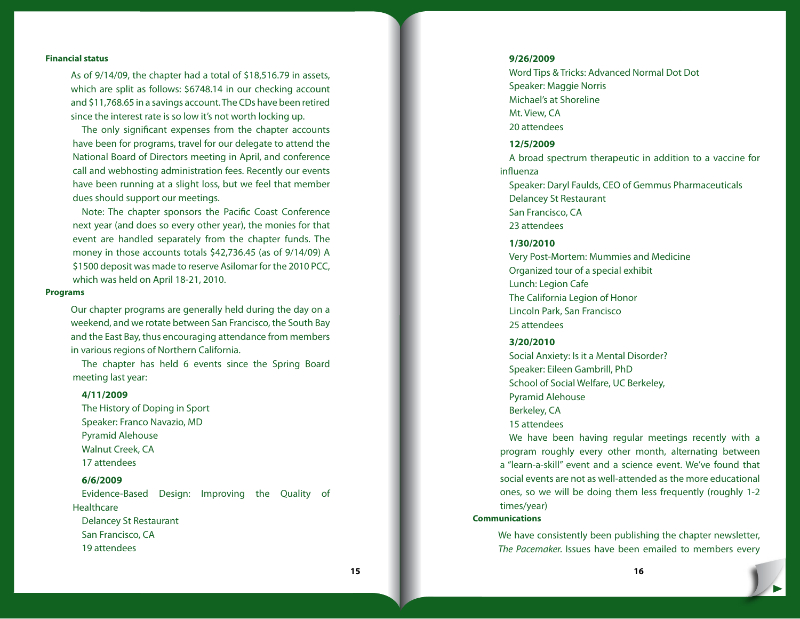#### **Financial status**

As of 9/14/09, the chapter had a total of \$18,516.79 in assets, which are split as follows: \$6748.14 in our checking account and \$11,768.65 in a savings account. The CDs have been retired since the interest rate is so low it's not worth locking up.

The only significant expenses from the chapter accounts have been for programs, travel for our delegate to attend the National Board of Directors meeting in April, and conference call and webhosting administration fees. Recently our events have been running at a slight loss, but we feel that member dues should support our meetings.

Note: The chapter sponsors the Pacific Coast Conference next year (and does so every other year), the monies for that event are handled separately from the chapter funds. The money in those accounts totals \$42,736.45 (as of 9/14/09) A \$1500 deposit was made to reserve Asilomar for the 2010 PCC, which was held on April 18-21, 2010.

#### **Programs**

Our chapter programs are generally held during the day on a weekend, and we rotate between San Francisco, the South Bay and the East Bay, thus encouraging attendance from members in various regions of Northern California.

The chapter has held 6 events since the Spring Board meeting last year:

#### **4/11/2009**

The History of Doping in Sport Speaker: Franco Navazio, MD Pyramid Alehouse Walnut Creek, CA 17 attendees

#### **6/6/2009**

Evidence-Based Design: Improving the Quality of **Healthcare** Delancey St Restaurant

San Francisco, CA 19 attendees

#### **9/26/2009**

Word Tips & Tricks: Advanced Normal Dot Dot Speaker: Maggie Norris Michael's at Shoreline Mt. View, CA 20 attendees

## **12/5/2009**

A broad spectrum therapeutic in addition to a vaccine for influenza Speaker: Daryl Faulds, CEO of Gemmus Pharmaceuticals

Delancey St Restaurant San Francisco, CA

23 attendees

## **1/30/2010**

Very Post-Mortem: Mummies and Medicine Organized tour of a special exhibit Lunch: Legion Cafe The California Legion of Honor Lincoln Park, San Francisco 25 attendees

#### **3/20/2010**

Social Anxiety: Is it a Mental Disorder? Speaker: Eileen Gambrill, PhD School of Social Welfare, UC Berkeley, Pyramid Alehouse Berkeley, CA

15 attendees

We have been having regular meetings recently with a program roughly every other month, alternating between a "learn-a-skill" event and a science event. We've found that social events are not as well-attended as the more educational ones, so we will be doing them less frequently (roughly 1-2 times/year)

#### **Communications**

We have consistently been publishing the chapter newsletter, *The Pacemaker.* Issues have been emailed to members every